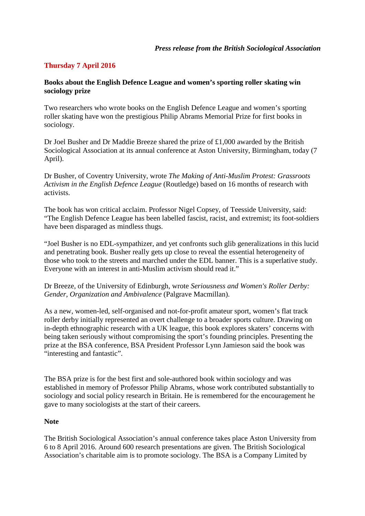## **Thursday 7 April 2016**

## **Books about the English Defence League and women's sporting roller skating win sociology prize**

Two researchers who wrote books on the English Defence League and women's sporting roller skating have won the prestigious Philip Abrams Memorial Prize for first books in sociology.

Dr Joel Busher and Dr Maddie Breeze shared the prize of £1,000 awarded by the British Sociological Association at its annual conference at Aston University, Birmingham, today (7 April).

Dr Busher, of Coventry University, wrote *The Making of Anti-Muslim Protest: Grassroots Activism in the English Defence League* (Routledge) based on 16 months of research with activists.

The book has won critical acclaim. Professor Nigel Copsey, of Teesside University, said: "The English Defence League has been labelled fascist, racist, and extremist; its foot-soldiers have been disparaged as mindless thugs.

"Joel Busher is no EDL-sympathizer, and yet confronts such glib generalizations in this lucid and penetrating book. Busher really gets up close to reveal the essential heterogeneity of those who took to the streets and marched under the EDL banner. This is a superlative study. Everyone with an interest in anti-Muslim activism should read it."

Dr Breeze, of the University of Edinburgh, wrote *Seriousness and Women's Roller Derby: Gender, Organization and Ambivalence* (Palgrave Macmillan).

As a new, women-led, self-organised and not-for-profit amateur sport, women's flat track roller derby initially represented an overt challenge to a broader sports culture. Drawing on in-depth ethnographic research with a UK league, this book explores skaters' concerns with being taken seriously without compromising the sport's founding principles. Presenting the prize at the BSA conference, BSA President Professor Lynn Jamieson said the book was "interesting and fantastic".

The BSA prize is for the best first and sole-authored book within sociology and was established in memory of Professor Philip Abrams, whose work contributed substantially to sociology and social policy research in Britain. He is remembered for the encouragement he gave to many sociologists at the start of their careers.

## **Note**

The British Sociological Association's annual conference takes place Aston University from 6 to 8 April 2016. Around 600 research presentations are given. The British Sociological Association's charitable aim is to promote sociology. The BSA is a Company Limited by